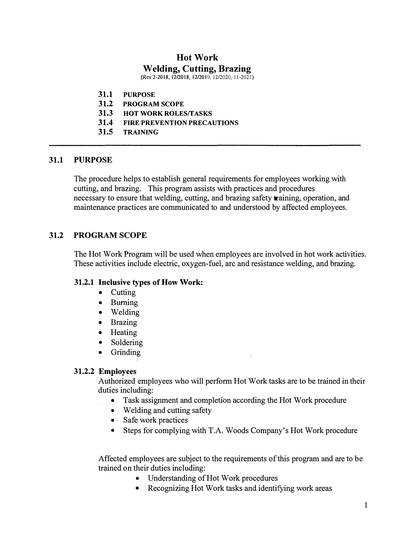# **Hot Work Welding, Cutting, Brazing**

(Rev 2-2018, 12/2018, 12/2019, 12/2020, 11-2021)

- **31.1 PURPOSE**
- **31.2 PROGRAM SCOPE**
- **31.3 HOT WORK ROLESffASKS**
- **31.4 FIRE PREVENTION PRECAUTIONS**
- **31.5 TRAINING**

### **31.1 PURPOSE**

The procedure helps to establish general requirements for employees working with cutting, and brazing. This program assists with practices and procedures necessary to ensure that welding, cutting, and brazing safety training, operation, and maintenance practices are communicated to and understood by affected employees.

# **31.2 PROGRAM SCOPE**

The Hot Work Program will be used when employees are involved in hot work activities. These activities include electric, oxygen-fuel, arc and resistance welding, and brazing.

### **31.2.1 Inclusive types of How Work:**

- Cutting
- Burning
- Welding
- Brazing
- Heating
- Soldering
- Grinding

#### **31.2.2 Employees**

Authorized employees who will perform Hot Work tasks are to be trained in their duties including:

- Task assignment and completion according the Hot Work procedure
- Welding and cutting safety
- Safe work practices
- Steps for complying with T.A. Woods Company's Hot Work procedure

Affected employees are subject to the requirements of this program and are to be trained on their duties including:

- Understanding of Hot Work procedures
- Recognizing Hot Work tasks and identifying work areas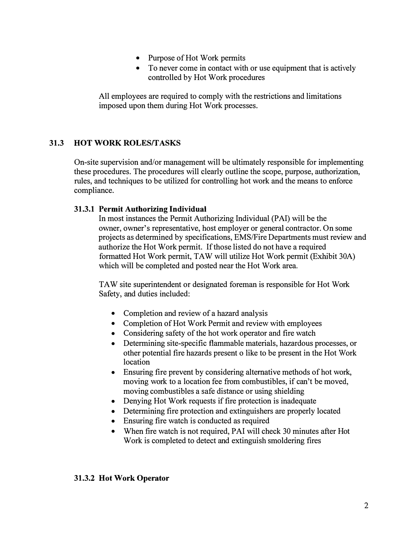- Purpose of Hot Work permits
- To never come in contact with or use equipment that is actively controlled by Hot Work procedures

All employees are required to comply with the restrictions and limitations imposed upon them during Hot Work processes.

# **31.3 HOT WORK ROLES/TASKS**

On-site supervision and/or management will be ultimately responsible for implementing these procedures. The procedures will clearly outline the scope, purpose, authorization, rules, and techniques to be utilized for controlling hot work and the means to enforce compliance.

### **31.3.1 Permit Authorizing Individual**

In most instances the Permit Authorizing Individual (PAI) will be the owner, owner's representative, host employer or general contractor. On some projects as determined by specifications, EMS/Fire Departments must review and authorize the Hot Work permit. If those listed do not have a required formatted Hot Work permit, TA W will utilize Hot Work permit (Exhibit 30A) which will be completed and posted near the Hot Work area.

TA W site superintendent or designated foreman is responsible for Hot Work Safety, and duties included:

- Completion and review of a hazard analysis
- Completion of Hot Work Permit and review with employees
- Considering safety of the hot work operator and fire watch
- Determining site-specific flammable materials, hazardous processes, or other potential fire hazards present o like to be present in the Hot Work location
- Ensuring fire prevent by considering alternative methods of hot work, moving work to a location fee from combustibles, if can't be moved, moving combustibles a safe distance or using shielding
- Denying Hot Work requests if fire protection is inadequate
- Determining fire protection and extinguishers are properly located
- Ensuring fire watch is conducted as required
- When fire watch is not required, PAI will check 30 minutes after Hot Work is completed to detect and extinguish smoldering fires

#### **31.3.2 Hot Work Operator**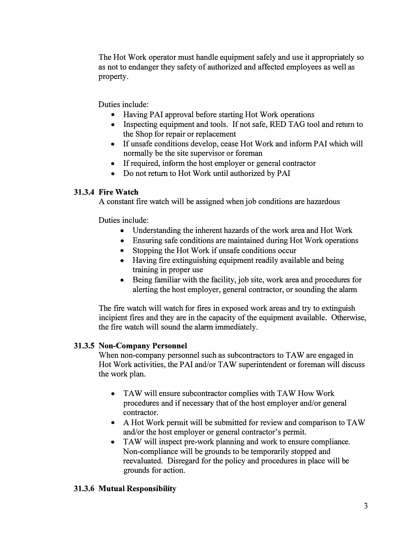The Hot Work operator must handle equipment safely and use it appropriately so as not to endanger they safety of authorized and affected employees as well as property.

Duties include:

- Having PAI approval before starting Hot Work operations
- Inspecting equipment and tools. If not safe, RED TAG tool and return to the Shop for repair or replacement
- If unsafe conditions develop, cease Hot Work and inform PAI which will normally be the site supervisor or foreman
- If required, inform the host employer or general contractor
- Do not return to Hot Work until authorized by PAI

# **31.3.4 Fire Watch**

A constant fire watch will be assigned when job conditions are hazardous

Duties include:

- Understanding the inherent hazards of the work area and Hot Work
- Ensuring safe conditions are maintained during Hot Work operations
- Stopping the Hot Work if unsafe conditions occur
- Having fire extinguishing equipment readily available and being training in proper use
- Being familiar with the facility, job site, work area and procedures for alerting the host employer, general contractor, or sounding the alarm

The fire watch will watch for fires in exposed work areas and try to extinguish incipient fires and they are in the capacity of the equipment available. Otherwise, the fire watch will sound the alarm immediately.

# **31.3.5 Non-Company Personnel**

When non-company personnel such as subcontractors to TAW are engaged in Hot Work activities, the PAI and/or TAW superintendent or foreman will discuss the work plan.

- TAW will ensure subcontractor complies with TAW How Work procedures and if necessary that of the host employer and/or general contractor.
- A Hot Work permit will be submitted for review and comparison to TAW and/or the host employer or general contractor's permit.
- TAW will inspect pre-work planning and work to ensure compliance. Non-compliance will be grounds to be temporarily stopped and reevaluated. Disregard for the policy and procedures in place will be grounds for action.

# **31.3.6 Mutual Responsibility**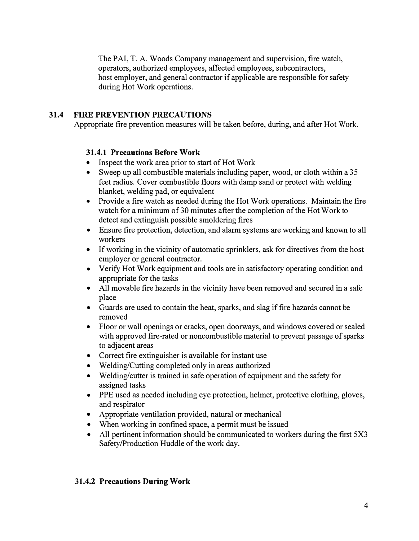The PAI, T. A. Woods Company management and supervision, fire watch, operators, authorized employees, affected employees, subcontractors, host employer, and general contractor if applicable are responsible for safety during Hot Work operations.

# **31.4 FIRE PREVENTION PRECAUTIONS**

Appropriate fire prevention measures will be taken before, during, and after Hot Work.

### **31.4.1 Precautions Before Work**

- Inspect the work area prior to start of Hot Work
- Sweep up all combustible materials including paper, wood, or cloth within a 35 feet radius. Cover combustible floors with damp sand or protect with welding blanket, welding pad, or equivalent
- Provide a fire watch as needed during the Hot Work operations. Maintain the fire watch for a minimum of 30 minutes after the completion of the Hot Work to detect and extinguish possible smoldering fires
- Ensure fire protection, detection, and alarm systems are working and known to all workers
- If working in the vicinity of automatic sprinklers, ask for directives from the host employer or general contractor.
- Verify Hot Work equipment and tools are in satisfactory operating condition and appropriate for the tasks
- All movable fire hazards in the vicinity have been removed and secured in a safe place
- Guards are used to contain the heat, sparks, and slag if fire hazards cannot be removed
- Floor or wall openings or cracks, open doorways, and windows covered or sealed with approved fire-rated or noncombustible material to prevent passage of sparks to adjacent areas
- Correct fire extinguisher is available for instant use
- Welding/Cutting completed only in areas authorized
- Welding/cutter is trained in safe operation of equipment and the safety for assigned tasks
- PPE used as needed including eye protection, helmet, protective clothing, gloves, and respirator
- Appropriate ventilation provided, natural or mechanical
- When working in confined space, a permit must be issued
- All pertinent information should be communicated to workers during the first 5X3 Safety/Production Huddle of the work day.

### **31.4.2 Precautions During Work**